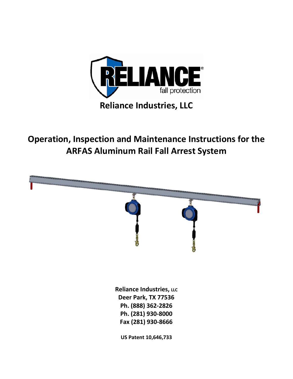

**Operation, Inspection and Maintenance Instructions for the ARFAS Aluminum Rail Fall Arrest System** 

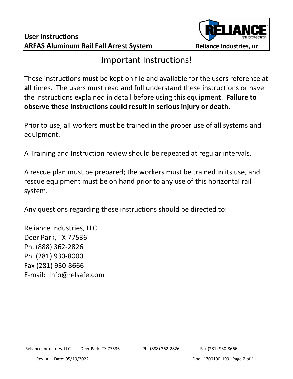

## Important Instructions!

These instructions must be kept on file and available for the users reference at **all** times. The users must read and full understand these instructions or have the instructions explained in detail before using this equipment. **Failure to observe these instructions could result in serious injury or death.**

Prior to use, all workers must be trained in the proper use of all systems and equipment.

A Training and Instruction review should be repeated at regular intervals.

A rescue plan must be prepared; the workers must be trained in its use, and rescue equipment must be on hand prior to any use of this horizontal rail system.

Any questions regarding these instructions should be directed to:

Reliance Industries, LLC Deer Park, TX 77536 Ph. (888) 362-2826 Ph. (281) 930-8000 Fax (281) 930-8666 E-mail: Info@relsafe.com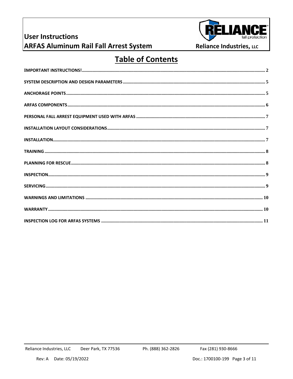## **User Instructions**



Reliance Industries, LLC

# **ARFAS Aluminum Rail Fall Arrest System**

#### **Table of Contents**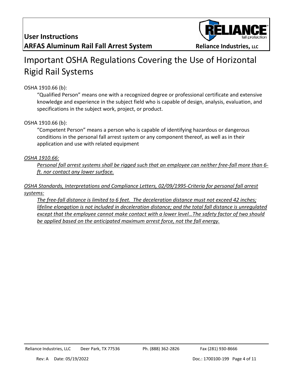

# Important OSHA Regulations Covering the Use of Horizontal Rigid Rail Systems

#### OSHA 1910.66 (b):

"Qualified Person" means one with a recognized degree or professional certificate and extensive knowledge and experience in the subject field who is capable of design, analysis, evaluation, and specifications in the subject work, project, or product.

#### OSHA 1910.66 (b):

"Competent Person" means a person who is capable of identifying hazardous or dangerous conditions in the personal fall arrest system or any component thereof, as well as in their application and use with related equipment

#### *OSHA 1910.66:*

*Personal fall arrest systems shall be rigged such that an employee can neither free-fall more than 6 ft. nor contact any lower surface.*

#### *OSHA Standards, Interpretations and Compliance Letters, 02/09/1995-Criteria for personal fall arrest systems:*

*The free-fall distance is limited to 6 feet. The deceleration distance must not exceed 42 inches; lifeline elongation is not included in deceleration distance; and the total fall distance is unregulated except that the employee cannot make contact with a lower level…The safety factor of two should be applied based on the anticipated maximum arrest force, not the fall energy.*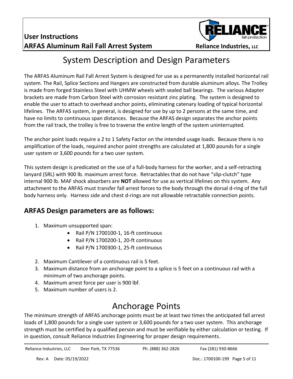

## System Description and Design Parameters

The ARFAS Aluminum Rail Fall Arrest System is designed for use as a permanently installed horizontal rail system. The Rail, Splice Sections and Hangers are constructed from durable aluminum alloys. The Trolley is made from forged Stainless Steel with UHMW wheels with sealed ball bearings. The various Adapter brackets are made from Carbon Steel with corrosion resistant zinc plating. The system is designed to enable the user to attach to overhead anchor points, eliminating catenary loading of typical horizontal lifelines. The ARFAS system, in general, is designed for use by up to 2 persons at the same time, and have no limits to continuous span distances. Because the ARFAS design separates the anchor points from the rail track, the trolley is free to traverse the entire length of the system uninterrupted.

The anchor point loads require a 2 to 1 Safety Factor on the intended usage loads. Because there is no amplification of the loads, required anchor point strengths are calculated at 1,800 pounds for a single user system or 3,600 pounds for a two user system.

This system design is predicated on the use of a full-body harness for the worker, and a self-retracting lanyard (SRL) with 900 lb. maximum arrest force. Retractables that do not have "slip-clutch" type internal 900 lb. MAF shock absorbers are **NOT** allowed for use as vertical lifelines on this system. Any attachment to the ARFAS must transfer fall arrest forces to the body through the dorsal d-ring of the full body harness only. Harness side and chest d-rings are not allowable retractable connection points.

#### **ARFAS Design parameters are as follows:**

- 1. Maximum unsupported span:
	- Rail P/N 1700100-1, 16-ft continuous
	- Rail P/N 1700200-1, 20-ft continuous
	- Rail P/N 1700300-1, 25-ft continuous
- 2. Maximum Cantilever of a continuous rail is 5 feet.
- 3. Maximum distance from an anchorage point to a splice is 5 feet on a continuous rail with a minimum of two anchorage points.
- 4. Maximum arrest force per user is 900 lbf.
- 5. Maximum number of users is 2.

# Anchorage Points

The minimum strength of ARFAS anchorage points must be at least two times the anticipated fall arrest loads of 1,800 pounds for a single user system or 3,600 pounds for a two user system. This anchorage strength must be certified by a qualified person and must be verifiable by either calculation or testing. If in question, consult Reliance Industries Engineering for proper design requirements.

Reliance Industries, LLC Deer Park, TX 77536 Ph. (888) 362-2826 Fax (281) 930-8666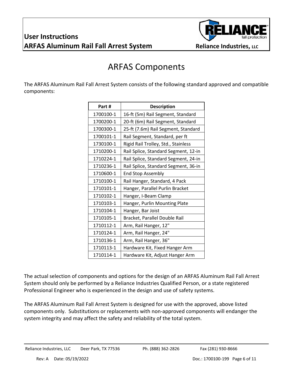

## ARFAS Components

The ARFAS Aluminum Rail Fall Arrest System consists of the following standard approved and compatible components:

| Part #    | <b>Description</b>                   |
|-----------|--------------------------------------|
| 1700100-1 | 16-ft (5m) Rail Segment, Standard    |
| 1700200-1 | 20-ft (6m) Rail Segment, Standard    |
| 1700300-1 | 25-ft (7.6m) Rail Segment, Standard  |
| 1700101-1 | Rail Segment, Standard, per ft       |
| 1730100-1 | Rigid Rail Trolley, Std., Stainless  |
| 1710200-1 | Rail Splice, Standard Segment, 12-in |
| 1710224-1 | Rail Splice, Standard Segment, 24-in |
| 1710236-1 | Rail Splice, Standard Segment, 36-in |
| 1710600-1 | <b>End Stop Assembly</b>             |
| 1710100-1 | Rail Hanger, Standard, 4 Pack        |
| 1710101-1 | Hanger, Parallel Purlin Bracket      |
| 1710102-1 | Hanger, I-Beam Clamp                 |
| 1710103-1 | Hanger, Purlin Mounting Plate        |
| 1710104-1 | Hanger, Bar Joist                    |
| 1710105-1 | Bracket, Parallel Double Rail        |
| 1710112-1 | Arm, Rail Hanger, 12"                |
| 1710124-1 | Arm, Rail Hanger, 24"                |
| 1710136-1 | Arm, Rail Hanger, 36"                |
| 1710113-1 | Hardware Kit, Fixed Hanger Arm       |
| 1710114-1 | Hardware Kit, Adjust Hanger Arm      |

The actual selection of components and options for the design of an ARFAS Aluminum Rail Fall Arrest System should only be performed by a Reliance Industries Qualified Person, or a state registered Professional Engineer who is experienced in the design and use of safety systems.

The ARFAS Aluminum Rail Fall Arrest System is designed for use with the approved, above listed components only. Substitutions or replacements with non-approved components will endanger the system integrity and may affect the safety and reliability of the total system.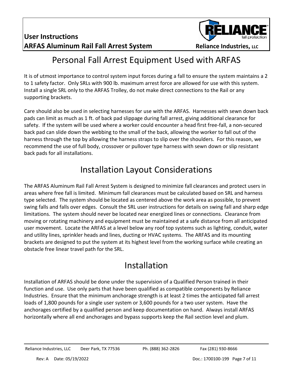

## Personal Fall Arrest Equipment Used with ARFAS

It is of utmost importance to control system input forces during a fall to ensure the system maintains a 2 to 1 safety factor. Only SRLs with 900 lb. maximum arrest force are allowed for use with this system. Install a single SRL only to the ARFAS Trolley, do not make direct connections to the Rail or any supporting brackets.

Care should also be used in selecting harnesses for use with the ARFAS. Harnesses with sewn down back pads can limit as much as 1 ft. of back pad slippage during fall arrest, giving additional clearance for safety. If the system will be used where a worker could encounter a head first free-fall, a non-secured back pad can slide down the webbing to the small of the back, allowing the worker to fall out of the harness through the top by allowing the harness straps to slip over the shoulders. For this reason, we recommend the use of full body, crossover or pullover type harness with sewn down or slip resistant back pads for all installations.

### Installation Layout Considerations

The ARFAS Aluminum Rail Fall Arrest System is designed to minimize fall clearances and protect users in areas where free fall is limited. Minimum fall clearances must be calculated based on SRL and harness type selected. The system should be located as centered above the work area as possible, to prevent swing falls and falls over edges. Consult the SRL user instructions for details on swing fall and sharp edge limitations. The system should never be located near energized lines or connections. Clearance from moving or rotating machinery and equipment must be maintained at a safe distance from all anticipated user movement. Locate the ARFAS at a level below any roof top systems such as lighting, conduit, water and utility lines, sprinkler heads and lines, ducting or HVAC systems. The ARFAS and its mounting brackets are designed to put the system at its highest level from the working surface while creating an obstacle free linear travel path for the SRL.

## Installation

Installation of ARFAS should be done under the supervision of a Qualified Person trained in their function and use. Use only parts that have been qualified as compatible components by Reliance Industries. Ensure that the minimum anchorage strength is at least 2 times the anticipated fall arrest loads of 1,800 pounds for a single user system or 3,600 pounds for a two user system. Have the anchorages certified by a qualified person and keep documentation on hand. Always install ARFAS horizontally where all end anchorages and bypass supports keep the Rail section level and plum.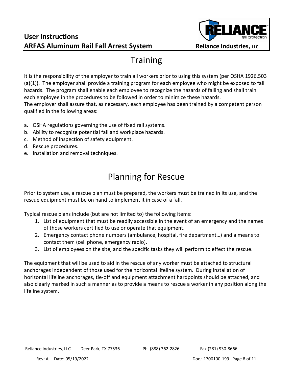#### **User Instructions ARFAS Aluminum Rail Fall Arrest System Reliance Industries, LLC**



## **Training**

It is the responsibility of the employer to train all workers prior to using this system (per OSHA 1926.503 (a)(1)). The employer shall provide a training program for each employee who might be exposed to fall hazards. The program shall enable each employee to recognize the hazards of falling and shall train each employee in the procedures to be followed in order to minimize these hazards. The employer shall assure that, as necessary, each employee has been trained by a competent person qualified in the following areas:

- a. OSHA regulations governing the use of fixed rail systems.
- b. Ability to recognize potential fall and workplace hazards.
- c. Method of inspection of safety equipment.
- d. Rescue procedures.
- e. Installation and removal techniques.

# Planning for Rescue

Prior to system use, a rescue plan must be prepared, the workers must be trained in its use, and the rescue equipment must be on hand to implement it in case of a fall.

Typical rescue plans include (but are not limited to) the following items:

- 1. List of equipment that must be readily accessible in the event of an emergency and the names of those workers certified to use or operate that equipment.
- 2. Emergency contact phone numbers (ambulance, hospital, fire department…) and a means to contact them (cell phone, emergency radio).
- 3. List of employees on the site, and the specific tasks they will perform to effect the rescue.

The equipment that will be used to aid in the rescue of any worker must be attached to structural anchorages independent of those used for the horizontal lifeline system. During installation of horizontal lifeline anchorages, tie-off and equipment attachment hardpoints should be attached, and also clearly marked in such a manner as to provide a means to rescue a worker in any position along the lifeline system.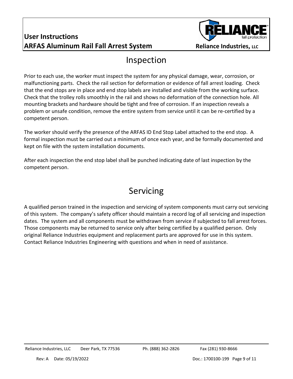

#### Inspection

Prior to each use, the worker must inspect the system for any physical damage, wear, corrosion, or malfunctioning parts. Check the rail section for deformation or evidence of fall arrest loading. Check that the end stops are in place and end stop labels are installed and visible from the working surface. Check that the trolley rolls smoothly in the rail and shows no deformation of the connection hole. All mounting brackets and hardware should be tight and free of corrosion. If an inspection reveals a problem or unsafe condition, remove the entire system from service until it can be re-certified by a competent person.

The worker should verify the presence of the ARFAS ID End Stop Label attached to the end stop. A formal inspection must be carried out a minimum of once each year, and be formally documented and kept on file with the system installation documents.

After each inspection the end stop label shall be punched indicating date of last inspection by the competent person.

# Servicing

A qualified person trained in the inspection and servicing of system components must carry out servicing of this system. The company's safety officer should maintain a record log of all servicing and inspection dates. The system and all components must be withdrawn from service if subjected to fall arrest forces. Those components may be returned to service only after being certified by a qualified person. Only original Reliance Industries equipment and replacement parts are approved for use in this system. Contact Reliance Industries Engineering with questions and when in need of assistance.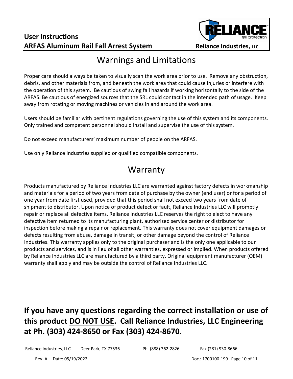#### **User Instructions ARFAS Aluminum Rail Fall Arrest System Reliance Industries, LLC**



#### Warnings and Limitations

Proper care should always be taken to visually scan the work area prior to use. Remove any obstruction, debris, and other materials from, and beneath the work area that could cause injuries or interfere with the operation of this system. Be cautious of swing fall hazards if working horizontally to the side of the ARFAS. Be cautious of energized sources that the SRL could contact in the intended path of usage. Keep away from rotating or moving machines or vehicles in and around the work area.

Users should be familiar with pertinent regulations governing the use of this system and its components. Only trained and competent personnel should install and supervise the use of this system.

Do not exceed manufacturers' maximum number of people on the ARFAS.

Use only Reliance Industries supplied or qualified compatible components.

#### Warranty

Products manufactured by Reliance Industries LLC are warranted against factory defects in workmanship and materials for a period of two years from date of purchase by the owner (end user) or for a period of one year from date first used, provided that this period shall not exceed two years from date of shipment to distributor. Upon notice of product defect or fault, Reliance Industries LLC will promptly repair or replace all defective items. Reliance Industries LLC reserves the right to elect to have any defective item returned to its manufacturing plant, authorized service center or distributor for inspection before making a repair or replacement. This warranty does not cover equipment damages or defects resulting from abuse, damage in transit, or other damage beyond the control of Reliance Industries. This warranty applies only to the original purchaser and is the only one applicable to our products and services, and is in lieu of all other warranties, expressed or implied. When products offered by Reliance Industries LLC are manufactured by a third party. Original equipment manufacturer (OEM) warranty shall apply and may be outside the control of Reliance Industries LLC.

#### **If you have any questions regarding the correct installation or use of this product DO NOT USE. Call Reliance Industries, LLC Engineering at Ph. (303) 424-8650 or Fax (303) 424-8670.**